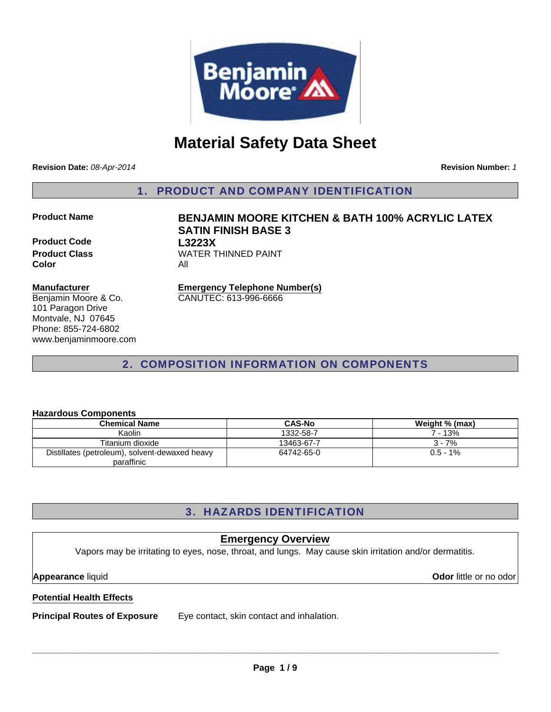

# **Material Safety Data Sheet**

**Revision Date:** *08-Apr-2014*

**Revision Number:** *1*

1. PRODUCT AND COMPANY IDENTIFICATION

**Product Code L3223X Color** All

## **Manufacturer**

Benjamin Moore & Co. 101 Paragon Drive Montvale, NJ 07645 Phone: 855-724-6802 www.benjaminmoore.com

**Product Name BENJAMIN MOORE KITCHEN & BATH 100% ACRYLIC LATEX SATIN FINISH BASE 3 Product Class WATER THINNED PAINT** 

#### **Emergency Telephone Number(s)** CANUTEC: 613-996-6666

2. COMPOSITION INFORMATION ON COMPONENTS

### **Hazardous Components**

| <b>Chemical Name</b>                           | <b>CAS-No</b> | Weight % (max) |
|------------------------------------------------|---------------|----------------|
| Kaolin                                         | 1332-58-7     | 7 - 13%        |
| Titanium dioxide                               | 13463-67-7    | $3 - 7%$       |
| Distillates (petroleum), solvent-dewaxed heavy | 64742-65-0    | $0.5 - 1\%$    |
| paraffinic                                     |               |                |

## 3. HAZARDS IDENTIFICATION

## **Emergency Overview**

Vapors may be irritating to eyes, nose, throat, and lungs. May cause skin irritation and/or dermatitis.

**Appearance** liquid **Odor** little or no odor

## **Potential Health Effects**

**Principal Routes of Exposure** Eye contact, skin contact and inhalation.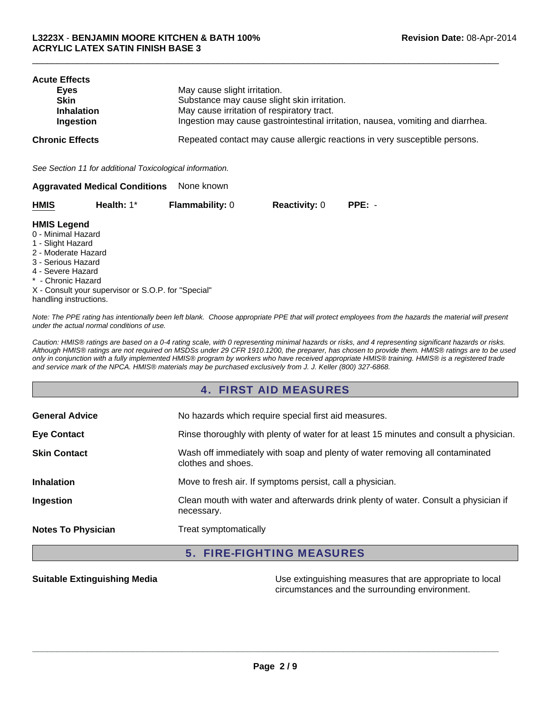| <b>Acute Effects</b><br>Eyes<br><b>Skin</b><br><b>Inhalation</b><br>Ingestion | May cause slight irritation.<br>Substance may cause slight skin irritation.<br>May cause irritation of respiratory tract.<br>Ingestion may cause gastrointestinal irritation, nausea, vomiting and diarrhea. |
|-------------------------------------------------------------------------------|--------------------------------------------------------------------------------------------------------------------------------------------------------------------------------------------------------------|
| <b>Chronic Effects</b>                                                        | Repeated contact may cause allergic reactions in very susceptible persons.                                                                                                                                   |
| See Section 11 for additional Toxicological information.                      |                                                                                                                                                                                                              |
| <b>Aggravated Medical Conditions</b>                                          | None known                                                                                                                                                                                                   |

 $\Box$ 

| <b>HMIS</b> | Health: 1* | <b>Flammability: 0</b> | <b>Reactivity: 0</b> | $PPE: -$ |
|-------------|------------|------------------------|----------------------|----------|
|-------------|------------|------------------------|----------------------|----------|

#### **HMIS Legend**

- 0 Minimal Hazard
- 1 Slight Hazard
- 2 Moderate Hazard
- 3 Serious Hazard
- 4 Severe Hazard
- \* Chronic Hazard
- X Consult your supervisor or S.O.P. for "Special" handling instructions.

*Note: The PPE rating has intentionally been left blank. Choose appropriate PPE that will protect employees from the hazards the material will present under the actual normal conditions of use.*

*Caution: HMIS® ratings are based on a 0-4 rating scale, with 0 representing minimal hazards or risks, and 4 representing significant hazards or risks. Although HMIS® ratings are not required on MSDSs under 29 CFR 1910.1200, the preparer, has chosen to provide them. HMIS® ratings are to be used only in conjunction with a fully implemented HMIS® program by workers who have received appropriate HMIS® training. HMIS® is a registered trade and service mark of the NPCA. HMIS® materials may be purchased exclusively from J. J. Keller (800) 327-6868.*

## 4. FIRST AID MEASURES

| <b>General Advice</b>     | No hazards which require special first aid measures.                                               |
|---------------------------|----------------------------------------------------------------------------------------------------|
| <b>Eye Contact</b>        | Rinse thoroughly with plenty of water for at least 15 minutes and consult a physician.             |
| <b>Skin Contact</b>       | Wash off immediately with soap and plenty of water removing all contaminated<br>clothes and shoes. |
| <b>Inhalation</b>         | Move to fresh air. If symptoms persist, call a physician.                                          |
| Ingestion                 | Clean mouth with water and afterwards drink plenty of water. Consult a physician if<br>necessary.  |
| <b>Notes To Physician</b> | Treat symptomatically                                                                              |

## 5. FIRE-FIGHTING MEASURES

**Suitable Extinguishing Media** Media **Network Clubse Extinguishing measures that are appropriate to local** circumstances and the surrounding environment.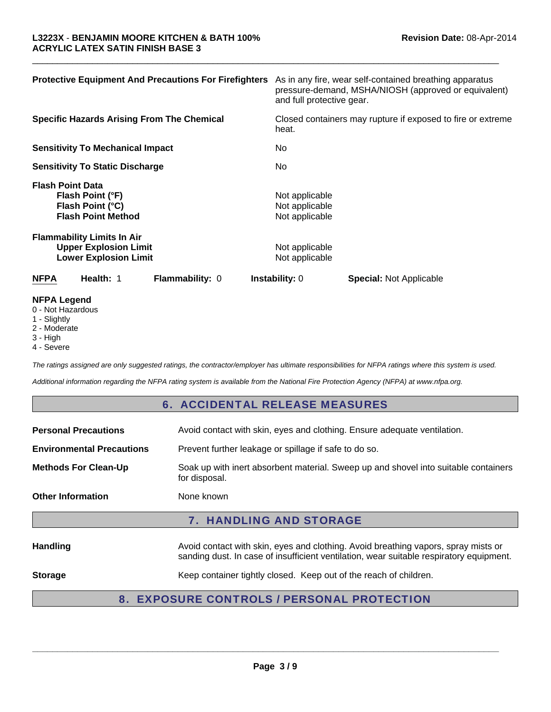| <b>Protective Equipment And Precautions For Firefighters</b>                                      | As in any fire, wear self-contained breathing apparatus<br>pressure-demand, MSHA/NIOSH (approved or equivalent)<br>and full protective gear. |
|---------------------------------------------------------------------------------------------------|----------------------------------------------------------------------------------------------------------------------------------------------|
| <b>Specific Hazards Arising From The Chemical</b>                                                 | Closed containers may rupture if exposed to fire or extreme<br>heat.                                                                         |
| <b>Sensitivity To Mechanical Impact</b>                                                           | No.                                                                                                                                          |
| <b>Sensitivity To Static Discharge</b>                                                            | No.                                                                                                                                          |
| <b>Flash Point Data</b><br>Flash Point (°F)<br>Flash Point (°C)<br><b>Flash Point Method</b>      | Not applicable<br>Not applicable<br>Not applicable                                                                                           |
| <b>Flammability Limits In Air</b><br><b>Upper Explosion Limit</b><br><b>Lower Explosion Limit</b> | Not applicable<br>Not applicable                                                                                                             |
| Health: 1<br><b>NFPA</b><br><b>Flammability: 0</b>                                                | <b>Instability: 0</b><br><b>Special: Not Applicable</b>                                                                                      |
| <b>NFPA Legend</b>                                                                                |                                                                                                                                              |

 $\Box$ 

- 0 Not Hazardous
- 1 Slightly
- 2 Moderate
- 3 High
- 4 Severe

*The ratings assigned are only suggested ratings, the contractor/employer has ultimate responsibilities for NFPA ratings where this system is used.*

*Additional information regarding the NFPA rating system is available from the National Fire Protection Agency (NFPA) at www.nfpa.org.*

## 6. ACCIDENTAL RELEASE MEASURES

| <b>Personal Precautions</b>                                                               | Avoid contact with skin, eyes and clothing. Ensure adequate ventilation.                                                                                                      |  |
|-------------------------------------------------------------------------------------------|-------------------------------------------------------------------------------------------------------------------------------------------------------------------------------|--|
| <b>Environmental Precautions</b><br>Prevent further leakage or spillage if safe to do so. |                                                                                                                                                                               |  |
| <b>Methods For Clean-Up</b>                                                               | Soak up with inert absorbent material. Sweep up and shovel into suitable containers<br>for disposal.                                                                          |  |
| <b>Other Information</b>                                                                  | None known                                                                                                                                                                    |  |
| <b>7. HANDLING AND STORAGE</b>                                                            |                                                                                                                                                                               |  |
| <b>Handling</b>                                                                           | Avoid contact with skin, eyes and clothing. Avoid breathing vapors, spray mists or<br>sanding dust. In case of insufficient ventilation, wear suitable respiratory equipment. |  |
| <b>Storage</b>                                                                            | Keep container tightly closed. Keep out of the reach of children.                                                                                                             |  |
| 8.                                                                                        | <b>EXPOSURE CONTROLS / PERSONAL PROTECTION</b>                                                                                                                                |  |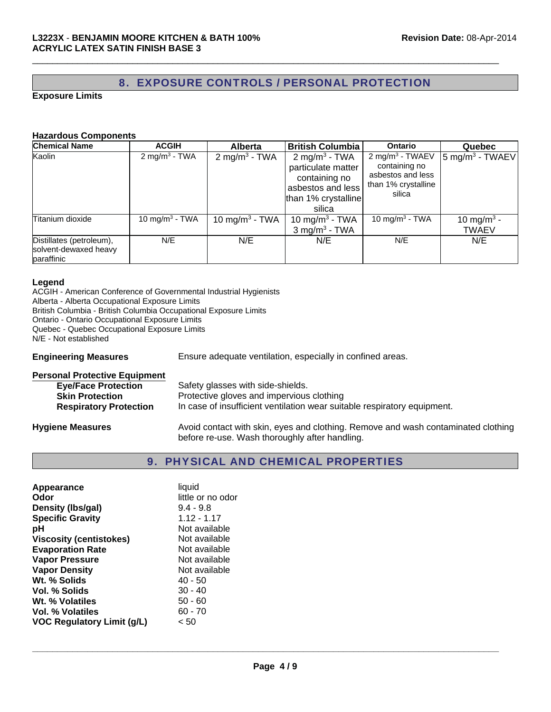## 8. EXPOSURE CONTROLS / PERSONAL PROTECTION

 $\Box$ 

#### **Exposure Limits**

#### **Hazardous Components**

| <b>Chemical Name</b>                                            | <b>ACGIH</b>               | <b>Alberta</b>             | <b>British Columbia</b>                                                                                                | <b>Ontario</b>                                                                                     | <b>Quebec</b>                          |
|-----------------------------------------------------------------|----------------------------|----------------------------|------------------------------------------------------------------------------------------------------------------------|----------------------------------------------------------------------------------------------------|----------------------------------------|
| Kaolin                                                          | 2 mg/m <sup>3</sup> - TWA  | 2 mg/m <sup>3</sup> - TWA  | 2 mg/m <sup>3</sup> - TWA<br>particulate matter<br>containing no<br>asbestos and less<br>than 1% crystalline<br>silica | 2 mg/m <sup>3</sup> - TWAEV<br>containing no<br>asbestos and less<br>than 1% crystalline<br>silica | $5$ mg/m <sup>3</sup> - TWAEV          |
| Titanium dioxide                                                | 10 mg/m <sup>3</sup> - TWA | 10 mg/m <sup>3</sup> - TWA | 10 mg/m <sup>3</sup> - TWA<br>$3$ mg/m <sup>3</sup> - TWA                                                              | 10 mg/m <sup>3</sup> - TWA                                                                         | 10 mg/m <sup>3</sup> -<br><b>TWAEV</b> |
| Distillates (petroleum),<br>solvent-dewaxed heavy<br>paraffinic | N/E                        | N/E                        | N/E                                                                                                                    | N/E                                                                                                | N/E                                    |

### **Legend**

ACGIH - American Conference of Governmental Industrial Hygienists Alberta - Alberta Occupational Exposure Limits British Columbia - British Columbia Occupational Exposure Limits Ontario - Ontario Occupational Exposure Limits Quebec - Quebec Occupational Exposure Limits N/E - Not established

**Engineering Measures** Ensure adequate ventilation, especially in confined areas.

| <b>Personal Protective Equipment</b> |                                                                                                                                     |
|--------------------------------------|-------------------------------------------------------------------------------------------------------------------------------------|
| <b>Eye/Face Protection</b>           | Safety glasses with side-shields.                                                                                                   |
| <b>Skin Protection</b>               | Protective gloves and impervious clothing                                                                                           |
| <b>Respiratory Protection</b>        | In case of insufficient ventilation wear suitable respiratory equipment.                                                            |
| <b>Hygiene Measures</b>              | Avoid contact with skin, eyes and clothing. Remove and wash contaminated clothing<br>before re-use. Wash thoroughly after handling. |

## 9. PHYSICAL AND CHEMICAL PROPERTIES

| Appearance                     | liquid            |
|--------------------------------|-------------------|
| Odor                           | little or no odor |
| Density (Ibs/gal)              | $9.4 - 9.8$       |
| <b>Specific Gravity</b>        | $1.12 - 1.17$     |
| рH                             | Not available     |
| <b>Viscosity (centistokes)</b> | Not available     |
| <b>Evaporation Rate</b>        | Not available     |
| <b>Vapor Pressure</b>          | Not available     |
| <b>Vapor Density</b>           | Not available     |
| Wt. % Solids                   | 40 - 50           |
| Vol. % Solids                  | $30 - 40$         |
| Wt. % Volatiles                | $50 - 60$         |
| <b>Vol. % Volatiles</b>        | $60 - 70$         |
| VOC Regulatory Limit (g/L)     | < 50              |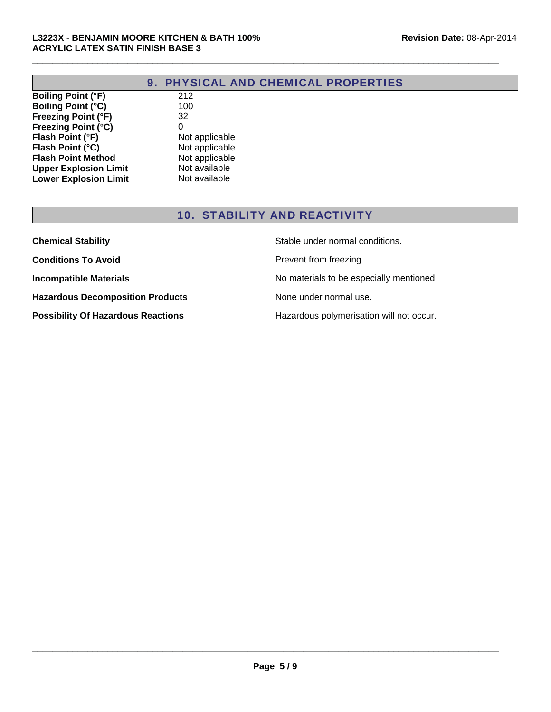| 9. PHYSICAL AND CHEMICAL PROPERTIES |
|-------------------------------------|
|-------------------------------------|

 $\Box$ 

**Boiling Point (°F)** 212<br> **Boiling Point (°C)** 100 **Boiling Point (°C) Freezing Point (°F)** 32<br>**Freezing Point (°C)** 0 **Freezing Point (°C)** 0<br> **Flash Point (°F)** Not applicable<br> **Flash Point (°C)** Not applicable **Flash Point (°F) Flash Point (°C)** Not applicable **Flash Point Method** Not applicable **Upper Explosion Limit** Not available<br> **Lower Explosion Limit** Not available **Lower Explosion Limit** 

## 10. STABILITY AND REACTIVITY

| <b>Chemical Stability</b>                 | Stable under normal conditions.          |
|-------------------------------------------|------------------------------------------|
| <b>Conditions To Avoid</b>                | Prevent from freezing                    |
| <b>Incompatible Materials</b>             | No materials to be especially mentioned  |
| <b>Hazardous Decomposition Products</b>   | None under normal use.                   |
| <b>Possibility Of Hazardous Reactions</b> | Hazardous polymerisation will not occur. |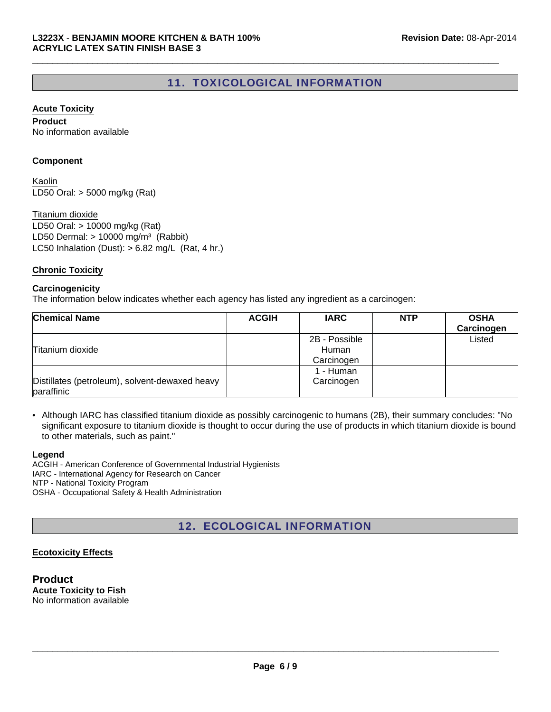## 11. TOXICOLOGICAL INFORMATION

 $\Box$ 

#### **Acute Toxicity**

**Product** No information available

#### **Component**

LD50 Oral: > 5000 mg/kg (Rat) Kaolin

LC50 Inhalation (Dust):  $> 6.82$  mg/L (Rat, 4 hr.) Titanium dioxide LD50 Oral: > 10000 mg/kg (Rat) LD50 Dermal:  $> 10000$  mg/m<sup>3</sup> (Rabbit)

#### **Chronic Toxicity**

#### **Carcinogenicity**

The information below indicates whether each agency has listed any ingredient as a carcinogen:

| <b>Chemical Name</b>                                         | <b>ACGIH</b> | <b>IARC</b>                          | <b>NTP</b> | <b>OSHA</b><br>Carcinogen |
|--------------------------------------------------------------|--------------|--------------------------------------|------------|---------------------------|
| Titanium dioxide                                             |              | 2B - Possible<br>Human<br>Carcinogen |            | Listed                    |
| Distillates (petroleum), solvent-dewaxed heavy<br>paraffinic |              | 1 - Human<br>Carcinogen              |            |                           |

• Although IARC has classified titanium dioxide as possibly carcinogenic to humans (2B), their summary concludes: "No significant exposure to titanium dioxide is thought to occur during the use of products in which titanium dioxide is bound to other materials, such as paint."

#### **Legend**

ACGIH - American Conference of Governmental Industrial Hygienists IARC - International Agency for Research on Cancer NTP - National Toxicity Program OSHA - Occupational Safety & Health Administration

12. ECOLOGICAL INFORMATION

### **Ecotoxicity Effects**

**Product Acute Toxicity to Fish** No information available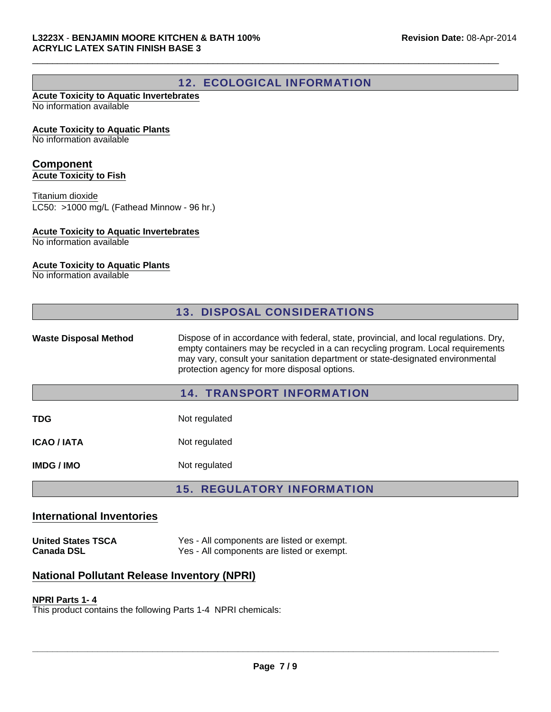## 12. ECOLOGICAL INFORMATION

 $\Box$ 

#### **Acute Toxicity to Aquatic Invertebrates** No information available

#### **Acute Toxicity to Aquatic Plants**

No information available

#### **Component Acute Toxicity to Fish**

LC50: >1000 mg/L (Fathead Minnow - 96 hr.) Titanium dioxide

#### **Acute Toxicity to Aquatic Invertebrates**

No information available

### **Acute Toxicity to Aquatic Plants**

No information available

|                              | <b>13. DISPOSAL CONSIDERATIONS</b>                                                                                                                                                                                                                                                                         |
|------------------------------|------------------------------------------------------------------------------------------------------------------------------------------------------------------------------------------------------------------------------------------------------------------------------------------------------------|
| <b>Waste Disposal Method</b> | Dispose of in accordance with federal, state, provincial, and local regulations. Dry,<br>empty containers may be recycled in a can recycling program. Local requirements<br>may vary, consult your sanitation department or state-designated environmental<br>protection agency for more disposal options. |
|                              | <b>14. TRANSPORT INFORMATION</b>                                                                                                                                                                                                                                                                           |
| TDG                          | Not regulated                                                                                                                                                                                                                                                                                              |
| <b>ICAO / IATA</b>           | Not regulated                                                                                                                                                                                                                                                                                              |
| <b>IMDG/IMO</b>              | Not regulated                                                                                                                                                                                                                                                                                              |
|                              | <b>15. REGULATORY INFORMATION</b>                                                                                                                                                                                                                                                                          |

### **International Inventories**

**United States TSCA** Yes - All components are listed or exempt.<br>Canada DSL Yes - All components are listed or exempt. Yes - All components are listed or exempt.

## **National Pollutant Release Inventory (NPRI)**

#### **NPRI Parts 1- 4**

This product contains the following Parts 1-4 NPRI chemicals: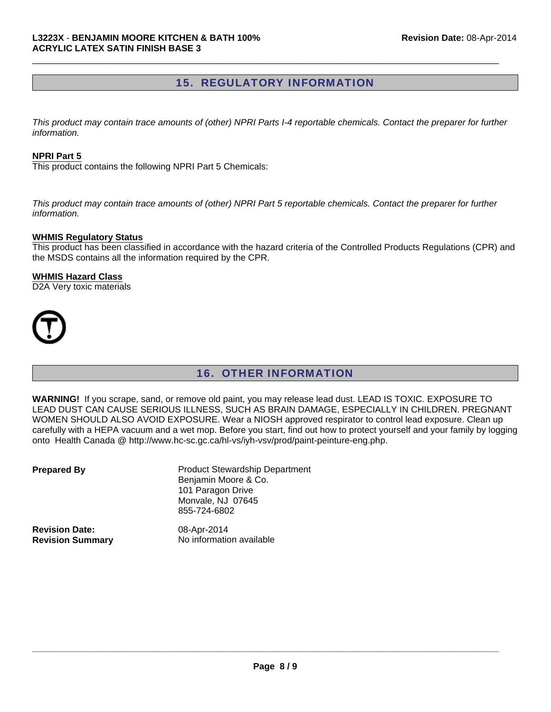## 15. REGULATORY INFORMATION

 $\Box$ 

*This product may contain trace amounts of (other) NPRI Parts I-4 reportable chemicals. Contact the preparer for further information.*

#### **NPRI Part 5**

This product contains the following NPRI Part 5 Chemicals:

*This product may contain trace amounts of (other) NPRI Part 5 reportable chemicals. Contact the preparer for further information.*

#### **WHMIS Regulatory Status**

This product has been classified in accordance with the hazard criteria of the Controlled Products Regulations (CPR) and the MSDS contains all the information required by the CPR.

#### **WHMIS Hazard Class**

D2A Very toxic materials



## 16. OTHER INFORMATION

**WARNING!** If you scrape, sand, or remove old paint, you may release lead dust. LEAD IS TOXIC. EXPOSURE TO LEAD DUST CAN CAUSE SERIOUS ILLNESS, SUCH AS BRAIN DAMAGE, ESPECIALLY IN CHILDREN. PREGNANT WOMEN SHOULD ALSO AVOID EXPOSURE. Wear a NIOSH approved respirator to control lead exposure. Clean up carefully with a HEPA vacuum and a wet mop. Before you start, find out how to protect yourself and your family by logging onto Health Canada @ http://www.hc-sc.gc.ca/hl-vs/iyh-vsv/prod/paint-peinture-eng.php.

| <b>Prepared By</b>      | <b>Product Stewardship Department</b><br>Benjamin Moore & Co.<br>101 Paragon Drive<br>Monvale, NJ 07645<br>855-724-6802 |
|-------------------------|-------------------------------------------------------------------------------------------------------------------------|
| <b>Revision Date:</b>   | 08-Apr-2014                                                                                                             |
| <b>Revision Summary</b> | No information available                                                                                                |